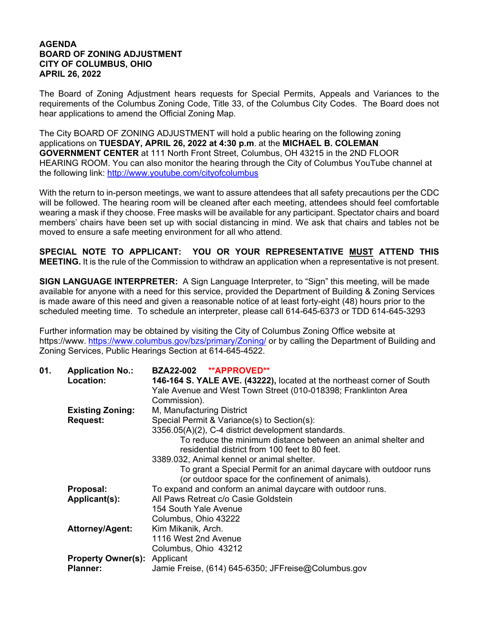## **AGENDA BOARD OF ZONING ADJUSTMENT CITY OF COLUMBUS, OHIO APRIL 26, 2022**

The Board of Zoning Adjustment hears requests for Special Permits, Appeals and Variances to the requirements of the Columbus Zoning Code, Title 33, of the Columbus City Codes. The Board does not hear applications to amend the Official Zoning Map.

The City BOARD OF ZONING ADJUSTMENT will hold a public hearing on the following zoning applications on **TUESDAY, APRIL 26, 2022 at 4:30 p.m**. at the **MICHAEL B. COLEMAN GOVERNMENT CENTER** at 111 North Front Street, Columbus, OH 43215 in the 2ND FLOOR HEARING ROOM. You can also monitor the hearing through the City of Columbus YouTube channel at the following link: http://www.youtube.com/cityofcolumbus

With the return to in-person meetings, we want to assure attendees that all safety precautions per the CDC will be followed. The hearing room will be cleaned after each meeting, attendees should feel comfortable wearing a mask if they choose. Free masks will be available for any participant. Spectator chairs and board members' chairs have been set up with social distancing in mind. We ask that chairs and tables not be moved to ensure a safe meeting environment for all who attend.

**SPECIAL NOTE TO APPLICANT: YOU OR YOUR REPRESENTATIVE MUST ATTEND THIS MEETING.** It is the rule of the Commission to withdraw an application when a representative is not present.

**SIGN LANGUAGE INTERPRETER:** A Sign Language Interpreter, to "Sign" this meeting, will be made available for anyone with a need for this service, provided the Department of Building & Zoning Services is made aware of this need and given a reasonable notice of at least forty-eight (48) hours prior to the scheduled meeting time. To schedule an interpreter, please call 614-645-6373 or TDD 614-645-3293

Further information may be obtained by visiting the City of Columbus Zoning Office website at https://www. https://www.columbus.gov/bzs/primary/Zoning/ or by calling the Department of Building and Zoning Services, Public Hearings Section at 614-645-4522.

| 01. | <b>Application No.:</b>             | BZA22-002 **APPROVED**                                                 |
|-----|-------------------------------------|------------------------------------------------------------------------|
|     | Location:                           | 146-164 S. YALE AVE. (43222), located at the northeast corner of South |
|     |                                     | Yale Avenue and West Town Street (010-018398; Franklinton Area         |
|     |                                     | Commission).                                                           |
|     | <b>Existing Zoning:</b>             | M, Manufacturing District                                              |
|     | <b>Request:</b>                     | Special Permit & Variance(s) to Section(s):                            |
|     |                                     | 3356.05(A)(2), C-4 district development standards.                     |
|     |                                     | To reduce the minimum distance between an animal shelter and           |
|     |                                     | residential district from 100 feet to 80 feet.                         |
|     |                                     | 3389.032, Animal kennel or animal shelter.                             |
|     |                                     | To grant a Special Permit for an animal daycare with outdoor runs      |
|     |                                     | (or outdoor space for the confinement of animals).                     |
|     | Proposal:                           | To expand and conform an animal daycare with outdoor runs.             |
|     | Applicant(s):                       | All Paws Retreat c/o Casie Goldstein                                   |
|     |                                     | 154 South Yale Avenue                                                  |
|     |                                     | Columbus, Ohio 43222                                                   |
|     | <b>Attorney/Agent:</b>              | Kim Mikanik, Arch.                                                     |
|     |                                     | 1116 West 2nd Avenue                                                   |
|     |                                     | Columbus, Ohio 43212                                                   |
|     | <b>Property Owner(s): Applicant</b> |                                                                        |
|     | <b>Planner:</b>                     | Jamie Freise, (614) 645-6350; JFFreise@Columbus.gov                    |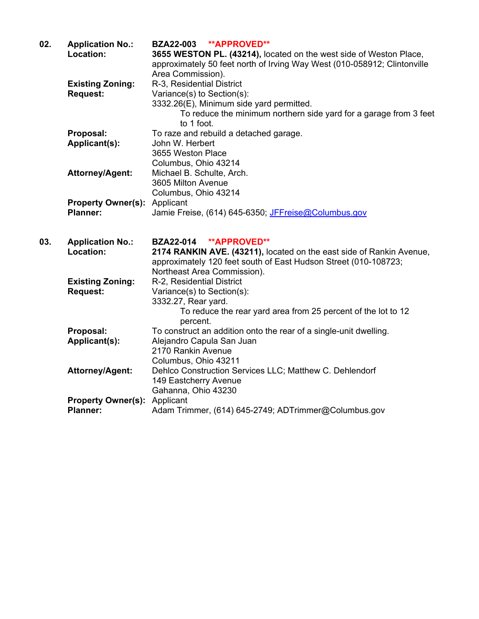| 02. | <b>Application No.:</b><br>Location:                   | <b>**APPROVED**</b><br><b>BZA22-003</b><br>3655 WESTON PL. (43214), located on the west side of Weston Place,<br>approximately 50 feet north of Irving Way West (010-058912; Clintonville<br>Area Commission).    |
|-----|--------------------------------------------------------|-------------------------------------------------------------------------------------------------------------------------------------------------------------------------------------------------------------------|
|     | <b>Existing Zoning:</b><br><b>Request:</b>             | R-3, Residential District<br>Variance(s) to Section(s):<br>3332.26(E), Minimum side yard permitted.<br>To reduce the minimum northern side yard for a garage from 3 feet<br>to 1 foot.                            |
|     | Proposal:<br>Applicant(s):                             | To raze and rebuild a detached garage.<br>John W. Herbert<br>3655 Weston Place<br>Columbus, Ohio 43214                                                                                                            |
|     | <b>Attorney/Agent:</b>                                 | Michael B. Schulte, Arch.<br>3605 Milton Avenue<br>Columbus, Ohio 43214                                                                                                                                           |
|     | <b>Property Owner(s): Applicant</b><br><b>Planner:</b> | Jamie Freise, (614) 645-6350; JFFreise@Columbus.gov                                                                                                                                                               |
| 03. | <b>Application No.:</b><br>Location:                   | <b>**APPROVED**</b><br><b>BZA22-014</b><br>2174 RANKIN AVE. (43211), located on the east side of Rankin Avenue,<br>approximately 120 feet south of East Hudson Street (010-108723;<br>Northeast Area Commission). |
|     | <b>Existing Zoning:</b><br><b>Request:</b>             | R-2, Residential District<br>Variance(s) to Section(s):<br>3332.27, Rear yard.<br>To reduce the rear yard area from 25 percent of the lot to 12<br>percent.                                                       |
|     | Proposal:<br>Applicant(s):                             | To construct an addition onto the rear of a single-unit dwelling.<br>Alejandro Capula San Juan<br>2170 Rankin Avenue<br>Columbus, Ohio 43211                                                                      |
|     | <b>Attorney/Agent:</b>                                 | Dehlco Construction Services LLC; Matthew C. Dehlendorf<br>149 Eastcherry Avenue<br>Gahanna, Ohio 43230                                                                                                           |
|     | <b>Property Owner(s):</b><br><b>Planner:</b>           | Applicant<br>Adam Trimmer, (614) 645-2749; ADTrimmer@Columbus.gov                                                                                                                                                 |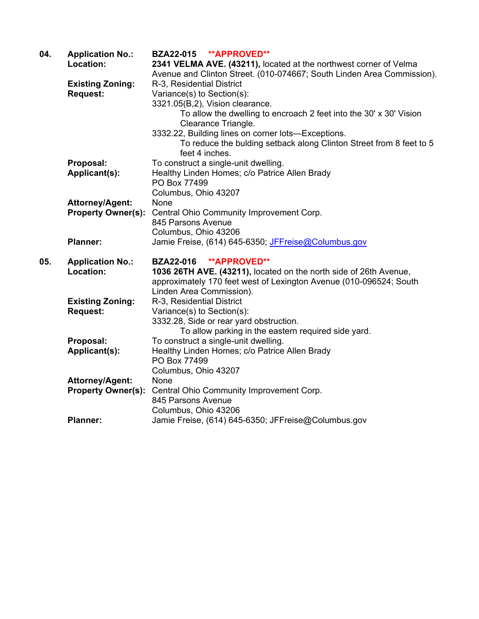| 04. | <b>Application No.:</b>   | BZA22-015 **APPROVED**                                                      |
|-----|---------------------------|-----------------------------------------------------------------------------|
|     | Location:                 | 2341 VELMA AVE. (43211), located at the northwest corner of Velma           |
|     |                           | Avenue and Clinton Street. (010-074667; South Linden Area Commission).      |
|     | <b>Existing Zoning:</b>   | R-3, Residential District                                                   |
|     | <b>Request:</b>           | Variance(s) to Section(s):                                                  |
|     |                           | 3321.05(B,2), Vision clearance.                                             |
|     |                           | To allow the dwelling to encroach 2 feet into the 30' x 30' Vision          |
|     |                           | Clearance Triangle.                                                         |
|     |                           | 3332.22, Building lines on corner lots-Exceptions.                          |
|     |                           | To reduce the bulding setback along Clinton Street from 8 feet to 5         |
|     |                           | feet 4 inches.                                                              |
|     | Proposal:                 | To construct a single-unit dwelling.                                        |
|     | Applicant(s):             | Healthy Linden Homes; c/o Patrice Allen Brady                               |
|     |                           | PO Box 77499                                                                |
|     |                           | Columbus, Ohio 43207                                                        |
|     | <b>Attorney/Agent:</b>    | None                                                                        |
|     | <b>Property Owner(s):</b> | Central Ohio Community Improvement Corp.                                    |
|     |                           | 845 Parsons Avenue                                                          |
|     |                           | Columbus, Ohio 43206                                                        |
|     | <b>Planner:</b>           | Jamie Freise, (614) 645-6350; JFFreise@Columbus.gov                         |
|     |                           |                                                                             |
| 05. | <b>Application No.:</b>   | <b>**APPROVED**</b><br><b>BZA22-016</b>                                     |
|     | Location:                 | 1036 26TH AVE. (43211), located on the north side of 26th Avenue,           |
|     |                           |                                                                             |
|     |                           |                                                                             |
|     |                           | approximately 170 feet west of Lexington Avenue (010-096524; South          |
|     |                           | Linden Area Commission).                                                    |
|     | <b>Existing Zoning:</b>   | R-3, Residential District                                                   |
|     | <b>Request:</b>           | Variance(s) to Section(s):                                                  |
|     |                           | 3332.28, Side or rear yard obstruction.                                     |
|     |                           | To allow parking in the eastern required side yard.                         |
|     | Proposal:                 | To construct a single-unit dwelling.                                        |
|     | Applicant(s):             | Healthy Linden Homes; c/o Patrice Allen Brady                               |
|     |                           | PO Box 77499                                                                |
|     |                           | Columbus, Ohio 43207                                                        |
|     | <b>Attorney/Agent:</b>    | None                                                                        |
|     | <b>Property Owner(s):</b> | Central Ohio Community Improvement Corp.                                    |
|     |                           | 845 Parsons Avenue                                                          |
|     | <b>Planner:</b>           | Columbus, Ohio 43206<br>Jamie Freise, (614) 645-6350; JFFreise@Columbus.gov |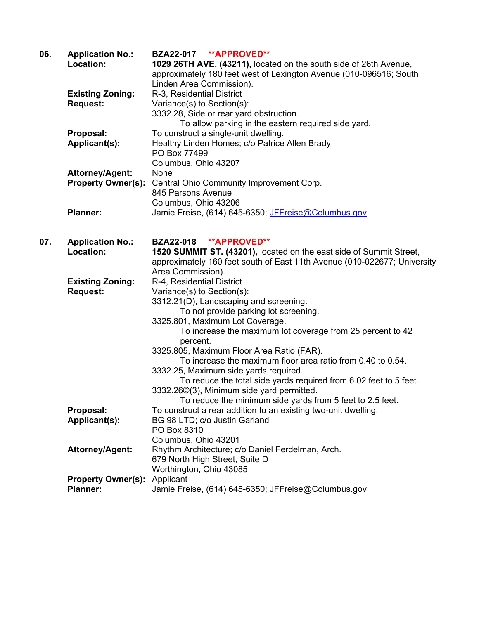| 06. | <b>Application No.:</b>   | BZA22-017 **APPROVED**                                                          |
|-----|---------------------------|---------------------------------------------------------------------------------|
|     | Location:                 | 1029 26TH AVE. (43211), located on the south side of 26th Avenue,               |
|     |                           | approximately 180 feet west of Lexington Avenue (010-096516; South              |
|     |                           | Linden Area Commission).                                                        |
|     | <b>Existing Zoning:</b>   | R-3, Residential District                                                       |
|     | <b>Request:</b>           | Variance(s) to Section(s):                                                      |
|     |                           | 3332.28, Side or rear yard obstruction.                                         |
|     |                           | To allow parking in the eastern required side yard.                             |
|     | Proposal:                 | To construct a single-unit dwelling.                                            |
|     | Applicant(s):             | Healthy Linden Homes; c/o Patrice Allen Brady                                   |
|     |                           | PO Box 77499                                                                    |
|     |                           | Columbus, Ohio 43207                                                            |
|     | <b>Attorney/Agent:</b>    | None                                                                            |
|     | <b>Property Owner(s):</b> | Central Ohio Community Improvement Corp.                                        |
|     |                           | 845 Parsons Avenue                                                              |
|     |                           | Columbus, Ohio 43206                                                            |
|     | <b>Planner:</b>           | Jamie Freise, (614) 645-6350; JFFreise@Columbus.gov                             |
|     |                           |                                                                                 |
|     |                           |                                                                                 |
| 07. | <b>Application No.:</b>   | <b>**APPROVED**</b><br><b>BZA22-018</b>                                         |
|     | Location:                 | 1520 SUMMIT ST. (43201), located on the east side of Summit Street,             |
|     |                           | approximately 160 feet south of East 11th Avenue (010-022677; University        |
|     |                           | Area Commission).                                                               |
|     | <b>Existing Zoning:</b>   | R-4, Residential District                                                       |
|     | <b>Request:</b>           | Variance(s) to Section(s):                                                      |
|     |                           | 3312.21(D), Landscaping and screening.<br>To not provide parking lot screening. |
|     |                           | 3325.801, Maximum Lot Coverage.                                                 |
|     |                           | To increase the maximum lot coverage from 25 percent to 42                      |
|     |                           | percent.                                                                        |
|     |                           | 3325.805, Maximum Floor Area Ratio (FAR).                                       |
|     |                           | To increase the maximum floor area ratio from 0.40 to 0.54.                     |
|     |                           | 3332.25, Maximum side yards required.                                           |
|     |                           | To reduce the total side yards required from 6.02 feet to 5 feet.               |
|     |                           | 3332.26©(3), Minimum side yard permitted.                                       |
|     |                           | To reduce the minimum side yards from 5 feet to 2.5 feet.                       |
|     | Proposal:                 | To construct a rear addition to an existing two-unit dwelling.                  |
|     | Applicant(s):             | BG 98 LTD; c/o Justin Garland                                                   |
|     |                           | PO Box 8310                                                                     |
|     |                           | Columbus, Ohio 43201                                                            |
|     | <b>Attorney/Agent:</b>    | Rhythm Architecture; c/o Daniel Ferdelman, Arch.                                |
|     |                           | 679 North High Street, Suite D                                                  |
|     |                           | Worthington, Ohio 43085                                                         |
|     | <b>Property Owner(s):</b> | Applicant                                                                       |
|     | <b>Planner:</b>           | Jamie Freise, (614) 645-6350; JFFreise@Columbus.gov                             |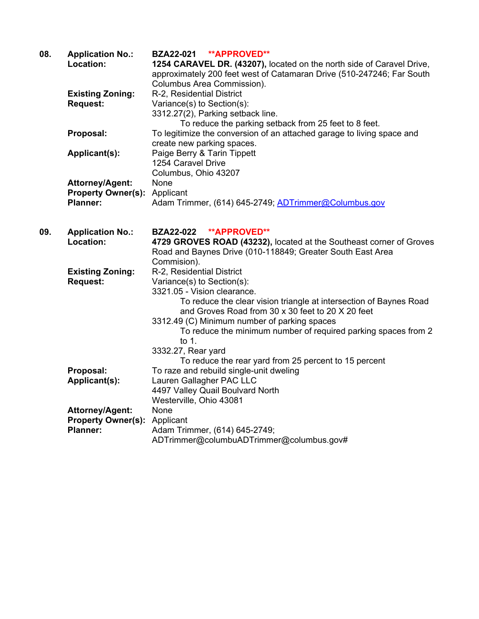| 08. | <b>Application No.:</b><br>Location:         | <b>**APPROVED**</b><br><b>BZA22-021</b><br>1254 CARAVEL DR. (43207), located on the north side of Caravel Drive,<br>approximately 200 feet west of Catamaran Drive (510-247246; Far South<br>Columbus Area Commission). |
|-----|----------------------------------------------|-------------------------------------------------------------------------------------------------------------------------------------------------------------------------------------------------------------------------|
|     | <b>Existing Zoning:</b>                      | R-2, Residential District                                                                                                                                                                                               |
|     | <b>Request:</b>                              | Variance(s) to Section(s):                                                                                                                                                                                              |
|     |                                              | 3312.27(2), Parking setback line.                                                                                                                                                                                       |
|     |                                              | To reduce the parking setback from 25 feet to 8 feet.                                                                                                                                                                   |
|     | Proposal:                                    | To legitimize the conversion of an attached garage to living space and                                                                                                                                                  |
|     |                                              | create new parking spaces.                                                                                                                                                                                              |
|     | <b>Applicant(s):</b>                         | Paige Berry & Tarin Tippett                                                                                                                                                                                             |
|     |                                              | 1254 Caravel Drive                                                                                                                                                                                                      |
|     |                                              | Columbus, Ohio 43207                                                                                                                                                                                                    |
|     | <b>Attorney/Agent:</b>                       | None                                                                                                                                                                                                                    |
|     | <b>Property Owner(s):</b><br><b>Planner:</b> | Applicant<br>Adam Trimmer, (614) 645-2749; ADTrimmer@Columbus.gov                                                                                                                                                       |
|     |                                              |                                                                                                                                                                                                                         |
| 09. | <b>Application No.:</b>                      | <b>**APPROVED**</b><br><b>BZA22-022</b>                                                                                                                                                                                 |
|     | Location:                                    | 4729 GROVES ROAD (43232), located at the Southeast corner of Groves                                                                                                                                                     |
|     |                                              | Road and Baynes Drive (010-118849; Greater South East Area                                                                                                                                                              |
|     |                                              | Commision).                                                                                                                                                                                                             |
|     | <b>Existing Zoning:</b>                      | R-2, Residential District                                                                                                                                                                                               |
|     | <b>Request:</b>                              | Variance(s) to Section(s):                                                                                                                                                                                              |
|     |                                              | 3321.05 - Vision clearance.                                                                                                                                                                                             |
|     |                                              | To reduce the clear vision triangle at intersection of Baynes Road<br>and Groves Road from 30 x 30 feet to 20 X 20 feet                                                                                                 |
|     |                                              | 3312.49 (C) Minimum number of parking spaces                                                                                                                                                                            |

to 1. 3332.27, Rear yard

**Proposal:** To raze and rebuild single-unit dweling<br> **Applicant(s):** Lauren Gallagher PAC LLC

**Planner:** Adam Trimmer, (614) 645-2749;

**Attorney/Agent:** None **Property Owner(s):** Applicant

**Applicant(s):** Lauren Gallagher PAC LLC 4497 Valley Quail Boulvard North

Westerville, Ohio 43081

To reduce the minimum number of required parking spaces from 2

To reduce the rear yard from 25 percent to 15 percent

ADTrimmer@columbuADTrimmer@columbus.gov#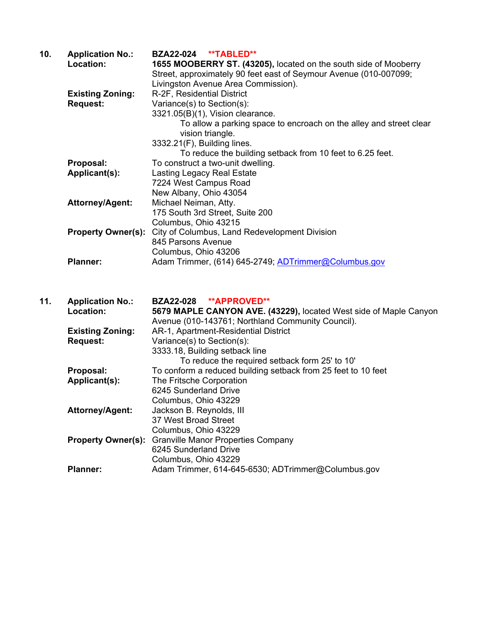| 10. | <b>Application No.:</b><br>Location:       | **TABLED**<br><b>BZA22-024</b><br>1655 MOOBERRY ST. (43205), located on the south side of Mooberry<br>Street, approximately 90 feet east of Seymour Avenue (010-007099;<br>Livingston Avenue Area Commission).                                                                     |
|-----|--------------------------------------------|------------------------------------------------------------------------------------------------------------------------------------------------------------------------------------------------------------------------------------------------------------------------------------|
|     | <b>Existing Zoning:</b><br><b>Request:</b> | R-2F, Residential District<br>Variance(s) to Section(s):<br>3321.05(B)(1), Vision clearance.<br>To allow a parking space to encroach on the alley and street clear<br>vision triangle.<br>3332.21(F), Building lines.<br>To reduce the building setback from 10 feet to 6.25 feet. |
|     | Proposal:<br>Applicant(s):                 | To construct a two-unit dwelling.<br><b>Lasting Legacy Real Estate</b><br>7224 West Campus Road<br>New Albany, Ohio 43054                                                                                                                                                          |
|     | <b>Attorney/Agent:</b>                     | Michael Neiman, Atty.<br>175 South 3rd Street, Suite 200<br>Columbus, Ohio 43215                                                                                                                                                                                                   |
|     | <b>Property Owner(s):</b>                  | City of Columbus, Land Redevelopment Division<br>845 Parsons Avenue<br>Columbus, Ohio 43206                                                                                                                                                                                        |
|     | <b>Planner:</b>                            | Adam Trimmer, (614) 645-2749; ADTrimmer@Columbus.gov                                                                                                                                                                                                                               |
| 11. | <b>Application No.:</b><br>Location:       | BZA22-028 **APPROVED**<br>5679 MAPLE CANYON AVE. (43229), located West side of Maple Canyon<br>Avenue (010-143761; Northland Community Council).                                                                                                                                   |
|     | <b>Existing Zoning:</b><br><b>Request:</b> | AR-1, Apartment-Residential District<br>Variance(s) to Section(s):<br>3333.18, Building setback line<br>To reduce the required setback form 25' to 10'                                                                                                                             |
|     | Proposal:<br>Applicant(s):                 | To conform a reduced building setback from 25 feet to 10 feet<br>The Fritsche Corporation<br>6245 Sunderland Drive<br>Columbus, Ohio 43229                                                                                                                                         |
|     | <b>Attorney/Agent:</b>                     | Jackson B. Reynolds, III<br>37 West Broad Street<br>Columbus, Ohio 43229                                                                                                                                                                                                           |
|     | <b>Property Owner(s):</b>                  | <b>Granville Manor Properties Company</b><br>6245 Sunderland Drive                                                                                                                                                                                                                 |

Planner: Adam Trimmer, 614-645-6530; ADTrimmer@Columbus.gov

Columbus, Ohio 43229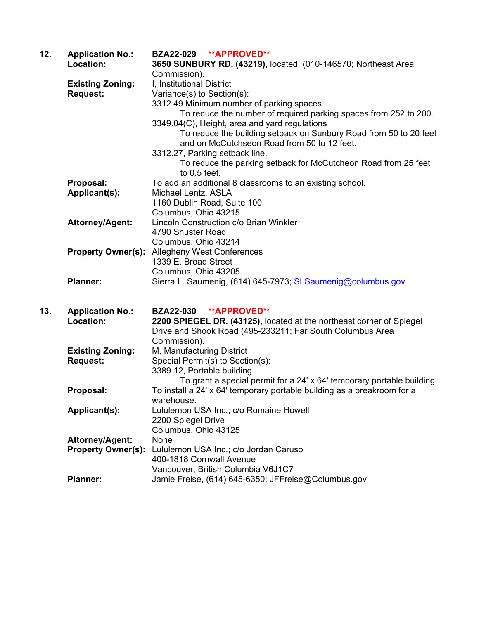| 12. | <b>Application No.:</b><br>Location:                | BZA22-029 **APPROVED**<br>3650 SUNBURY RD. (43219), located (010-146570; Northeast Area                                                                                                                                                                                                                                                                      |
|-----|-----------------------------------------------------|--------------------------------------------------------------------------------------------------------------------------------------------------------------------------------------------------------------------------------------------------------------------------------------------------------------------------------------------------------------|
|     | <b>Existing Zoning:</b><br><b>Request:</b>          | Commission).<br>I, Institutional District<br>Variance(s) to Section(s):<br>3312.49 Minimum number of parking spaces<br>To reduce the number of required parking spaces from 252 to 200.<br>3349.04(C), Height, area and yard regulations<br>To reduce the building setback on Sunbury Road from 50 to 20 feet<br>and on McCutchseon Road from 50 to 12 feet. |
|     |                                                     | 3312.27, Parking setback line.<br>To reduce the parking setback for McCutcheon Road from 25 feet<br>to 0.5 feet.                                                                                                                                                                                                                                             |
|     | Proposal:<br>Applicant(s):                          | To add an additional 8 classrooms to an existing school.<br>Michael Lentz, ASLA<br>1160 Dublin Road, Suite 100<br>Columbus, Ohio 43215                                                                                                                                                                                                                       |
|     | <b>Attorney/Agent:</b>                              | Lincoln Construction c/o Brian Winkler<br>4790 Shuster Road<br>Columbus, Ohio 43214                                                                                                                                                                                                                                                                          |
|     |                                                     | <b>Property Owner(s):</b> Allegheny West Conferences<br>1339 E. Broad Street<br>Columbus, Ohio 43205                                                                                                                                                                                                                                                         |
|     | <b>Planner:</b>                                     | Sierra L. Saumenig, (614) 645-7973; SLSaumenig@columbus.gov                                                                                                                                                                                                                                                                                                  |
| 13. | <b>Application No.:</b><br>Location:                | <b>**APPROVED**</b><br><b>BZA22-030</b><br>2200 SPIEGEL DR. (43125), located at the northeast corner of Spiegel<br>Drive and Shook Road (495-233211; Far South Columbus Area<br>Commission).                                                                                                                                                                 |
|     | <b>Existing Zoning:</b><br><b>Request:</b>          | M, Manufacturing District<br>Special Permit(s) to Section(s):<br>3389.12, Portable building.<br>To grant a special permit for a 24' x 64' temporary portable building.                                                                                                                                                                                       |
|     | Proposal:                                           | To install a 24' x 64' temporary portable building as a breakroom for a<br>warehouse.                                                                                                                                                                                                                                                                        |
|     | Applicant(s):                                       | Lululemon USA Inc.; c/o Romaine Howell<br>2200 Spiegel Drive<br>Columbus, Ohio 43125                                                                                                                                                                                                                                                                         |
|     | <b>Attorney/Agent:</b><br><b>Property Owner(s):</b> | None<br>Lululemon USA Inc.; c/o Jordan Caruso<br>400-1818 Cornwall Avenue                                                                                                                                                                                                                                                                                    |
|     | <b>Planner:</b>                                     | Vancouver, British Columbia V6J1C7<br>Jamie Freise, (614) 645-6350; JFFreise@Columbus.gov                                                                                                                                                                                                                                                                    |